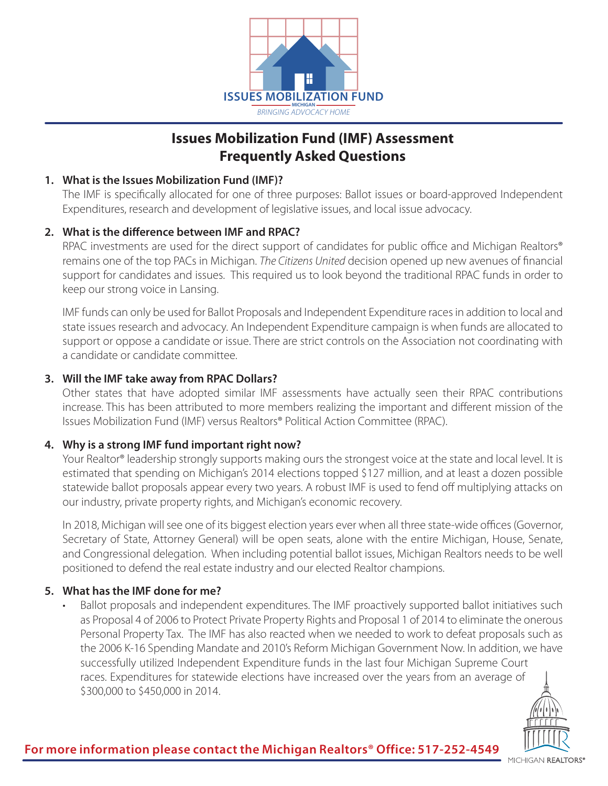

# **Issues Mobilization Fund (IMF) Assessment Frequently Asked Questions**

## **1. What is the Issues Mobilization Fund (IMF)?**

The IMF is specifically allocated for one of three purposes: Ballot issues or board-approved Independent Expenditures, research and development of legislative issues, and local issue advocacy.

## **2. What is the difference between IMF and RPAC?**

RPAC investments are used for the direct support of candidates for public office and Michigan Realtors® remains one of the top PACs in Michigan. *The Citizens United* decision opened up new avenues of financial support for candidates and issues. This required us to look beyond the traditional RPAC funds in order to keep our strong voice in Lansing.

IMF funds can only be used for Ballot Proposals and Independent Expenditure races in addition to local and state issues research and advocacy. An Independent Expenditure campaign is when funds are allocated to support or oppose a candidate or issue. There are strict controls on the Association not coordinating with a candidate or candidate committee.

## **3. Will the IMF take away from RPAC Dollars?**

Other states that have adopted similar IMF assessments have actually seen their RPAC contributions increase. This has been attributed to more members realizing the important and different mission of the Issues Mobilization Fund (IMF) versus Realtors® Political Action Committee (RPAC).

#### **4. Why is a strong IMF fund important right now?**

Your Realtor® leadership strongly supports making ours the strongest voice at the state and local level. It is estimated that spending on Michigan's 2014 elections topped \$127 million, and at least a dozen possible statewide ballot proposals appear every two years. A robust IMF is used to fend off multiplying attacks on our industry, private property rights, and Michigan's economic recovery.

In 2018, Michigan will see one of its biggest election years ever when all three state-wide offices (Governor, Secretary of State, Attorney General) will be open seats, alone with the entire Michigan, House, Senate, and Congressional delegation. When including potential ballot issues, Michigan Realtors needs to be well positioned to defend the real estate industry and our elected Realtor champions.

# **5. What has the IMF done for me?**

Ballot proposals and independent expenditures. The IMF proactively supported ballot initiatives such as Proposal 4 of 2006 to Protect Private Property Rights and Proposal 1 of 2014 to eliminate the onerous Personal Property Tax. The IMF has also reacted when we needed to work to defeat proposals such as the 2006 K-16 Spending Mandate and 2010's Reform Michigan Government Now. In addition, we have successfully utilized Independent Expenditure funds in the last four Michigan Supreme Court races. Expenditures for statewide elections have increased over the years from an average of \$300,000 to \$450,000 in 2014.